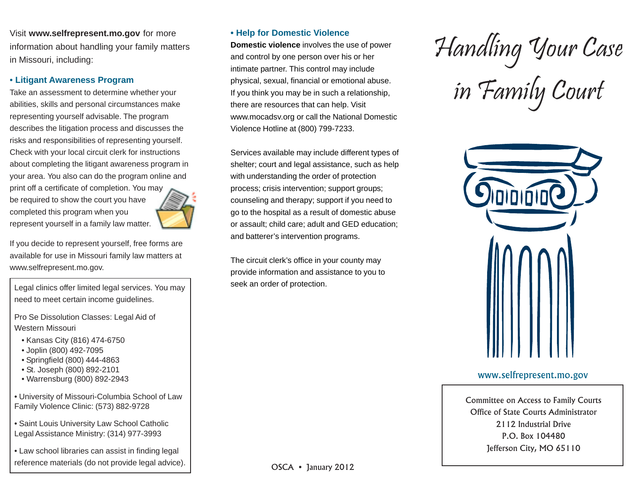Visit **www.selfrepresent.mo.gov** for more information about handling your family matters in Missouri, including:

## • **Litigant Awareness Program**

Take an assessment to determine whether your abilities, skills and personal circumstances make representing yourself advisable. The program describes the litigation process and discusses the risks and responsibilities of representing yourself. Check with your local circuit clerk for instructions about completing the litigant awareness program in your area. You also can do the program online and print off a certificate of completion. You may

be required to show the court you have completed this program when you represent yourself in a family law matter.



If you decide to represent yourself, free forms are available for use in Missouri family law matters at www.selfrepresent.mo.gov.

Legal clinics offer limited legal services. You may need to meet certain income guidelines.

Pro Se Dissolution Classes: Legal Aid of Western Missouri

- Kansas City (816) 474-6750
- Joplin (800) 492-7095
- Springfield (800) 444-4863
- St. Joseph (800) 892-2101
- Warrensburg (800) 892-2943
- University of Missouri-Columbia School of Law Family Violence Clinic: (573) 882-9728
- Saint Louis University Law School Catholic Legal Assistance Ministry: (314) 977-3993

• Law school libraries can assist in finding legal reference materials (do not provide legal advice).

# **• Help for Domestic Violence**

**Domestic violence** involves the use of power and control by one person over his or her intimate partner. This control may include physical, sexual, financial or emotional abuse. If you think you may be in such a relationship, there are resources that can help. Visit www.mocadsv.org or call the National Domestic Violence Hotline at (800) 799-7233.

Services available may include different types of shelter; court and legal assistance, such as help with understanding the order of protection process; crisis intervention; support groups; counseling and therapy; support if you need to go to the hospital as a result of domestic abuse or assault; child care; adult and GED education; and batterer's intervention programs.

The circuit clerk's office in your county may provide information and assistance to you to seek an order of protection.

Handling Your Case in Family Court



## www.selfrepresent.mo.gov

Committee on Access to Family Courts Office of State Courts Administrator 2112 Industrial Drive P.O. Box 104480 Jefferson City, MO 65110